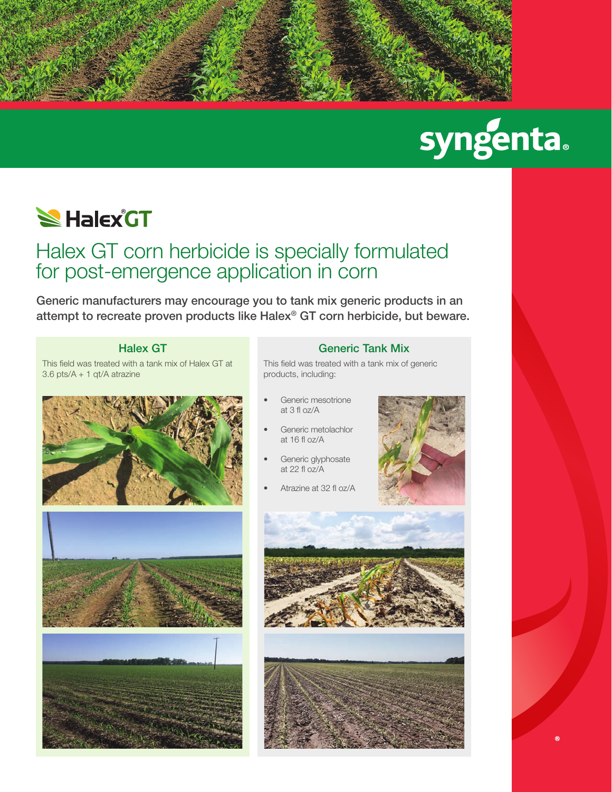

# syngenta.

### **SHalex GT**

### Halex GT corn herbicide is specially formulated for post-emergence application in corn

Generic manufacturers may encourage you to tank mix generic products in an attempt to recreate proven products like Halex® GT corn herbicide, but beware.

#### Halex GT

This field was treated with a tank mix of Halex GT at 3.6 pts/A + 1 qt/A atrazine







#### Generic Tank Mix

This field was treated with a tank mix of generic products, including:

- Generic mesotrione at 3 fl oz/A
- Generic metolachlor at 16 fl oz/A
- Generic glyphosate at 22 fl oz/A
- Atrazine at 32 fl oz/A